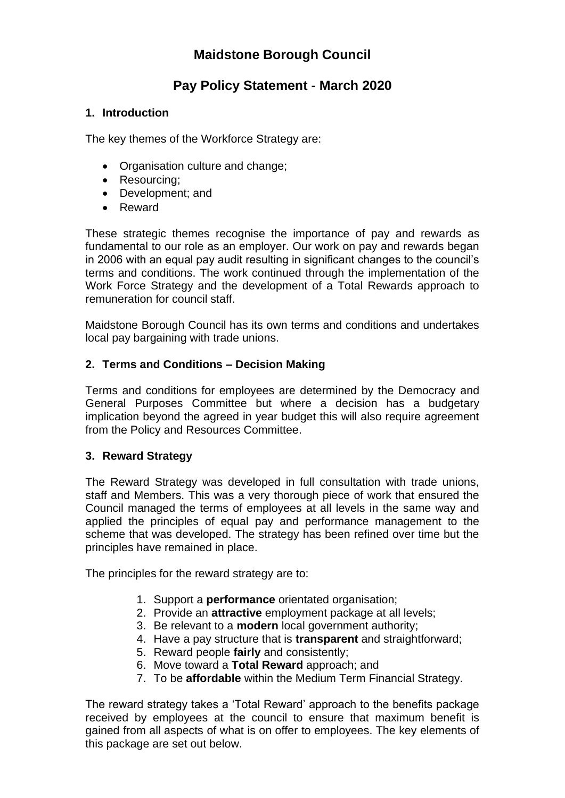# **Maidstone Borough Council**

# **Pay Policy Statement - March 2020**

### **1. Introduction**

The key themes of the Workforce Strategy are:

- Organisation culture and change;
- Resourcing;
- Development; and
- Reward

These strategic themes recognise the importance of pay and rewards as fundamental to our role as an employer. Our work on pay and rewards began in 2006 with an equal pay audit resulting in significant changes to the council's terms and conditions. The work continued through the implementation of the Work Force Strategy and the development of a Total Rewards approach to remuneration for council staff.

Maidstone Borough Council has its own terms and conditions and undertakes local pay bargaining with trade unions.

### **2. Terms and Conditions – Decision Making**

Terms and conditions for employees are determined by the Democracy and General Purposes Committee but where a decision has a budgetary implication beyond the agreed in year budget this will also require agreement from the Policy and Resources Committee.

### **3. Reward Strategy**

The Reward Strategy was developed in full consultation with trade unions, staff and Members. This was a very thorough piece of work that ensured the Council managed the terms of employees at all levels in the same way and applied the principles of equal pay and performance management to the scheme that was developed. The strategy has been refined over time but the principles have remained in place.

The principles for the reward strategy are to:

- 1. Support a **performance** orientated organisation;
- 2. Provide an **attractive** employment package at all levels;
- 3. Be relevant to a **modern** local government authority;
- 4. Have a pay structure that is **transparent** and straightforward;
- 5. Reward people **fairly** and consistently;
- 6. Move toward a **Total Reward** approach; and
- 7. To be **affordable** within the Medium Term Financial Strategy.

The reward strategy takes a 'Total Reward' approach to the benefits package received by employees at the council to ensure that maximum benefit is gained from all aspects of what is on offer to employees. The key elements of this package are set out below.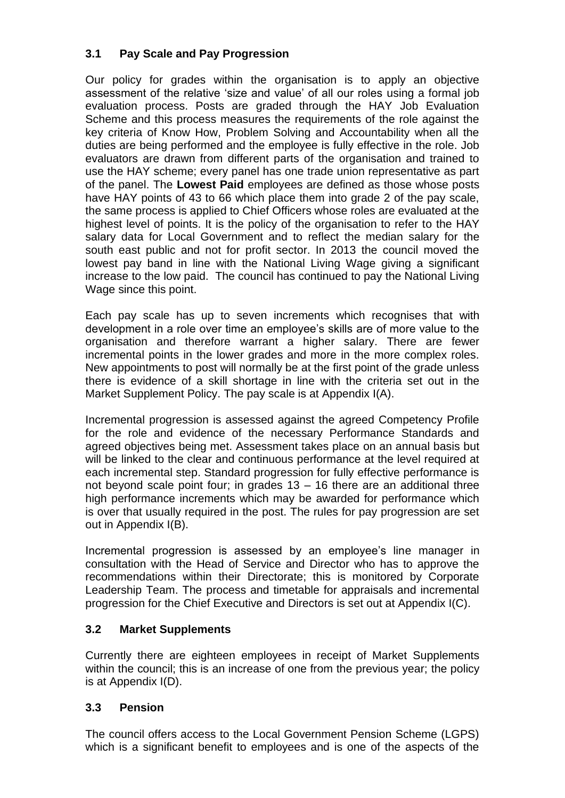## **3.1 Pay Scale and Pay Progression**

Our policy for grades within the organisation is to apply an objective assessment of the relative 'size and value' of all our roles using a formal job evaluation process. Posts are graded through the HAY Job Evaluation Scheme and this process measures the requirements of the role against the key criteria of Know How, Problem Solving and Accountability when all the duties are being performed and the employee is fully effective in the role. Job evaluators are drawn from different parts of the organisation and trained to use the HAY scheme; every panel has one trade union representative as part of the panel. The **Lowest Paid** employees are defined as those whose posts have HAY points of 43 to 66 which place them into grade 2 of the pay scale, the same process is applied to Chief Officers whose roles are evaluated at the highest level of points. It is the policy of the organisation to refer to the HAY salary data for Local Government and to reflect the median salary for the south east public and not for profit sector. In 2013 the council moved the lowest pay band in line with the National Living Wage giving a significant increase to the low paid. The council has continued to pay the National Living Wage since this point.

Each pay scale has up to seven increments which recognises that with development in a role over time an employee's skills are of more value to the organisation and therefore warrant a higher salary. There are fewer incremental points in the lower grades and more in the more complex roles. New appointments to post will normally be at the first point of the grade unless there is evidence of a skill shortage in line with the criteria set out in the Market Supplement Policy. The pay scale is at Appendix I(A).

Incremental progression is assessed against the agreed Competency Profile for the role and evidence of the necessary Performance Standards and agreed objectives being met. Assessment takes place on an annual basis but will be linked to the clear and continuous performance at the level required at each incremental step. Standard progression for fully effective performance is not beyond scale point four; in grades  $13 - 16$  there are an additional three high performance increments which may be awarded for performance which is over that usually required in the post. The rules for pay progression are set out in Appendix I(B).

Incremental progression is assessed by an employee's line manager in consultation with the Head of Service and Director who has to approve the recommendations within their Directorate; this is monitored by Corporate Leadership Team. The process and timetable for appraisals and incremental progression for the Chief Executive and Directors is set out at Appendix I(C).

### **3.2 Market Supplements**

Currently there are eighteen employees in receipt of Market Supplements within the council; this is an increase of one from the previous year; the policy is at Appendix I(D).

### **3.3 Pension**

The council offers access to the Local Government Pension Scheme (LGPS) which is a significant benefit to employees and is one of the aspects of the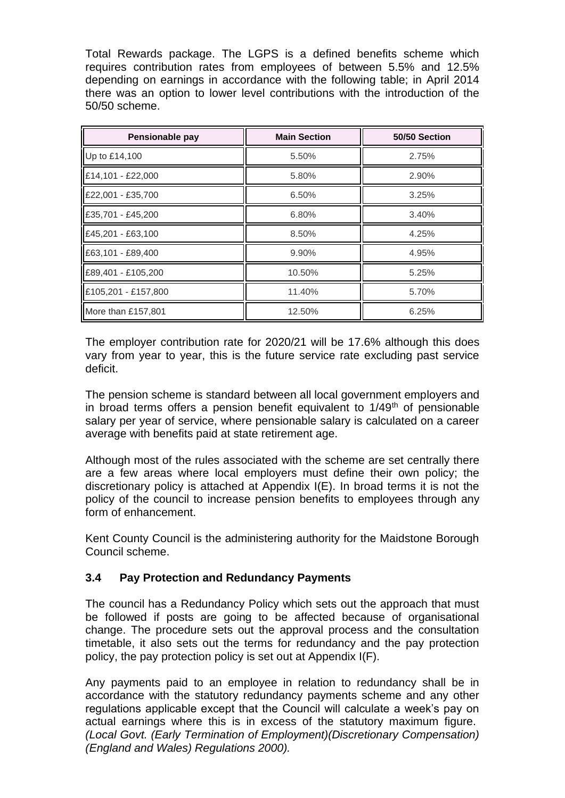Total Rewards package. The LGPS is a defined benefits scheme which requires contribution rates from employees of between 5.5% and 12.5% depending on earnings in accordance with the following table; in April 2014 there was an option to lower level contributions with the introduction of the 50/50 scheme.

| Pensionable pay     | <b>Main Section</b> | 50/50 Section |
|---------------------|---------------------|---------------|
| Up to £14,100       | 5.50%               | 2.75%         |
| £14,101 - £22,000   | 5.80%               | 2.90%         |
| £22,001 - £35,700   | 6.50%               | 3.25%         |
| £35,701 - £45,200   | 6.80%               | 3.40%         |
| £45,201 - £63,100   | 8.50%               | 4.25%         |
| £63,101 - £89,400   | 9.90%               | 4.95%         |
| £89,401 - £105,200  | 10.50%              | 5.25%         |
| £105,201 - £157,800 | 11.40%              | 5.70%         |
| More than £157,801  | 12.50%              | 6.25%         |

The employer contribution rate for 2020/21 will be 17.6% although this does vary from year to year, this is the future service rate excluding past service deficit.

The pension scheme is standard between all local government employers and in broad terms offers a pension benefit equivalent to  $1/49<sup>th</sup>$  of pensionable salary per year of service, where pensionable salary is calculated on a career average with benefits paid at state retirement age.

Although most of the rules associated with the scheme are set centrally there are a few areas where local employers must define their own policy; the discretionary policy is attached at Appendix I(E). In broad terms it is not the policy of the council to increase pension benefits to employees through any form of enhancement.

Kent County Council is the administering authority for the Maidstone Borough Council scheme.

### **3.4 Pay Protection and Redundancy Payments**

The council has a Redundancy Policy which sets out the approach that must be followed if posts are going to be affected because of organisational change. The procedure sets out the approval process and the consultation timetable, it also sets out the terms for redundancy and the pay protection policy, the pay protection policy is set out at Appendix I(F).

Any payments paid to an employee in relation to redundancy shall be in accordance with the statutory redundancy payments scheme and any other regulations applicable except that the Council will calculate a week's pay on actual earnings where this is in excess of the statutory maximum figure. *(Local Govt. (Early Termination of Employment)(Discretionary Compensation) (England and Wales) Regulations 2000).*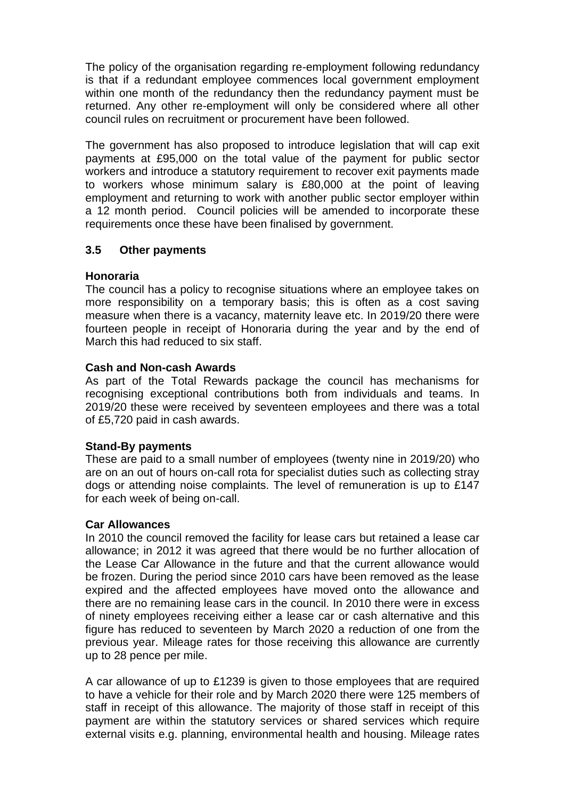The policy of the organisation regarding re-employment following redundancy is that if a redundant employee commences local government employment within one month of the redundancy then the redundancy payment must be returned. Any other re-employment will only be considered where all other council rules on recruitment or procurement have been followed.

The government has also proposed to introduce legislation that will cap exit payments at £95,000 on the total value of the payment for public sector workers and introduce a statutory requirement to recover exit payments made to workers whose minimum salary is £80,000 at the point of leaving employment and returning to work with another public sector employer within a 12 month period. Council policies will be amended to incorporate these requirements once these have been finalised by government.

#### **3.5 Other payments**

### **Honoraria**

The council has a policy to recognise situations where an employee takes on more responsibility on a temporary basis; this is often as a cost saving measure when there is a vacancy, maternity leave etc. In 2019/20 there were fourteen people in receipt of Honoraria during the year and by the end of March this had reduced to six staff.

#### **Cash and Non-cash Awards**

As part of the Total Rewards package the council has mechanisms for recognising exceptional contributions both from individuals and teams. In 2019/20 these were received by seventeen employees and there was a total of £5,720 paid in cash awards.

#### **Stand-By payments**

These are paid to a small number of employees (twenty nine in 2019/20) who are on an out of hours on-call rota for specialist duties such as collecting stray dogs or attending noise complaints. The level of remuneration is up to £147 for each week of being on-call.

#### **Car Allowances**

In 2010 the council removed the facility for lease cars but retained a lease car allowance; in 2012 it was agreed that there would be no further allocation of the Lease Car Allowance in the future and that the current allowance would be frozen. During the period since 2010 cars have been removed as the lease expired and the affected employees have moved onto the allowance and there are no remaining lease cars in the council. In 2010 there were in excess of ninety employees receiving either a lease car or cash alternative and this figure has reduced to seventeen by March 2020 a reduction of one from the previous year. Mileage rates for those receiving this allowance are currently up to 28 pence per mile.

A car allowance of up to £1239 is given to those employees that are required to have a vehicle for their role and by March 2020 there were 125 members of staff in receipt of this allowance. The majority of those staff in receipt of this payment are within the statutory services or shared services which require external visits e.g. planning, environmental health and housing. Mileage rates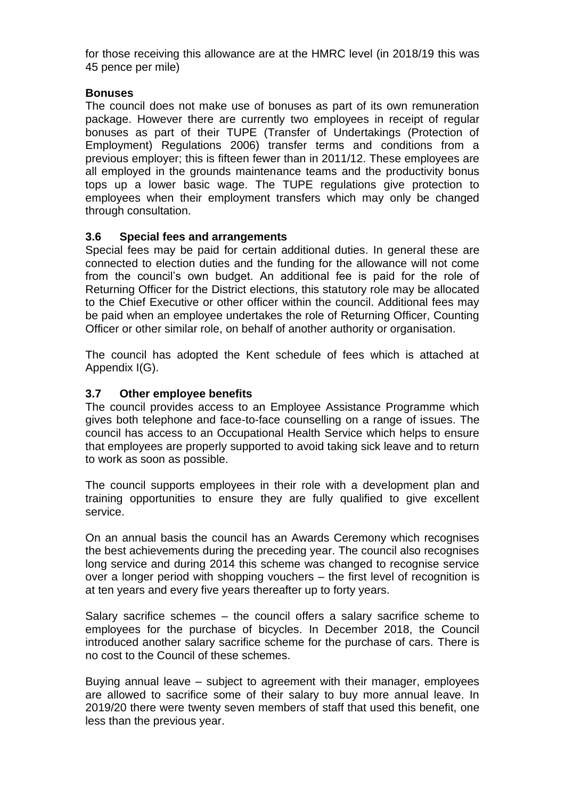for those receiving this allowance are at the HMRC level (in 2018/19 this was 45 pence per mile)

#### **Bonuses**

The council does not make use of bonuses as part of its own remuneration package. However there are currently two employees in receipt of regular bonuses as part of their TUPE (Transfer of Undertakings (Protection of Employment) Regulations 2006) transfer terms and conditions from a previous employer; this is fifteen fewer than in 2011/12. These employees are all employed in the grounds maintenance teams and the productivity bonus tops up a lower basic wage. The TUPE regulations give protection to employees when their employment transfers which may only be changed through consultation.

### **3.6 Special fees and arrangements**

Special fees may be paid for certain additional duties. In general these are connected to election duties and the funding for the allowance will not come from the council's own budget. An additional fee is paid for the role of Returning Officer for the District elections, this statutory role may be allocated to the Chief Executive or other officer within the council. Additional fees may be paid when an employee undertakes the role of Returning Officer, Counting Officer or other similar role, on behalf of another authority or organisation.

The council has adopted the Kent schedule of fees which is attached at Appendix I(G).

### **3.7 Other employee benefits**

The council provides access to an Employee Assistance Programme which gives both telephone and face-to-face counselling on a range of issues. The council has access to an Occupational Health Service which helps to ensure that employees are properly supported to avoid taking sick leave and to return to work as soon as possible.

The council supports employees in their role with a development plan and training opportunities to ensure they are fully qualified to give excellent service.

On an annual basis the council has an Awards Ceremony which recognises the best achievements during the preceding year. The council also recognises long service and during 2014 this scheme was changed to recognise service over a longer period with shopping vouchers – the first level of recognition is at ten years and every five years thereafter up to forty years.

Salary sacrifice schemes – the council offers a salary sacrifice scheme to employees for the purchase of bicycles. In December 2018, the Council introduced another salary sacrifice scheme for the purchase of cars. There is no cost to the Council of these schemes.

Buying annual leave – subject to agreement with their manager, employees are allowed to sacrifice some of their salary to buy more annual leave. In 2019/20 there were twenty seven members of staff that used this benefit, one less than the previous year.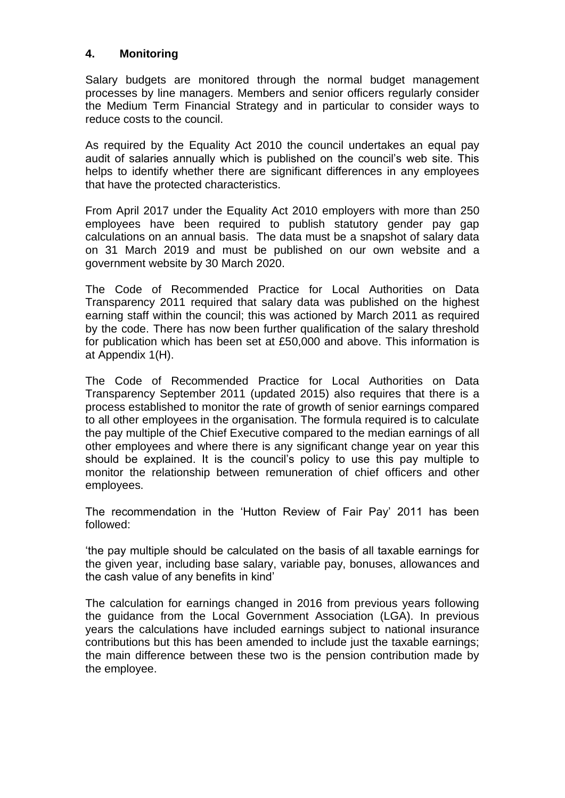### **4. Monitoring**

Salary budgets are monitored through the normal budget management processes by line managers. Members and senior officers regularly consider the Medium Term Financial Strategy and in particular to consider ways to reduce costs to the council.

As required by the Equality Act 2010 the council undertakes an equal pay audit of salaries annually which is published on the council's web site. This helps to identify whether there are significant differences in any employees that have the protected characteristics.

From April 2017 under the Equality Act 2010 employers with more than 250 employees have been required to publish statutory gender pay gap calculations on an annual basis. The data must be a snapshot of salary data on 31 March 2019 and must be published on our own website and a government website by 30 March 2020.

The Code of Recommended Practice for Local Authorities on Data Transparency 2011 required that salary data was published on the highest earning staff within the council; this was actioned by March 2011 as required by the code. There has now been further qualification of the salary threshold for publication which has been set at £50,000 and above. This information is at Appendix 1(H).

The Code of Recommended Practice for Local Authorities on Data Transparency September 2011 (updated 2015) also requires that there is a process established to monitor the rate of growth of senior earnings compared to all other employees in the organisation. The formula required is to calculate the pay multiple of the Chief Executive compared to the median earnings of all other employees and where there is any significant change year on year this should be explained. It is the council's policy to use this pay multiple to monitor the relationship between remuneration of chief officers and other employees.

The recommendation in the 'Hutton Review of Fair Pay' 2011 has been followed:

'the pay multiple should be calculated on the basis of all taxable earnings for the given year, including base salary, variable pay, bonuses, allowances and the cash value of any benefits in kind'

The calculation for earnings changed in 2016 from previous years following the guidance from the Local Government Association (LGA). In previous years the calculations have included earnings subject to national insurance contributions but this has been amended to include just the taxable earnings; the main difference between these two is the pension contribution made by the employee.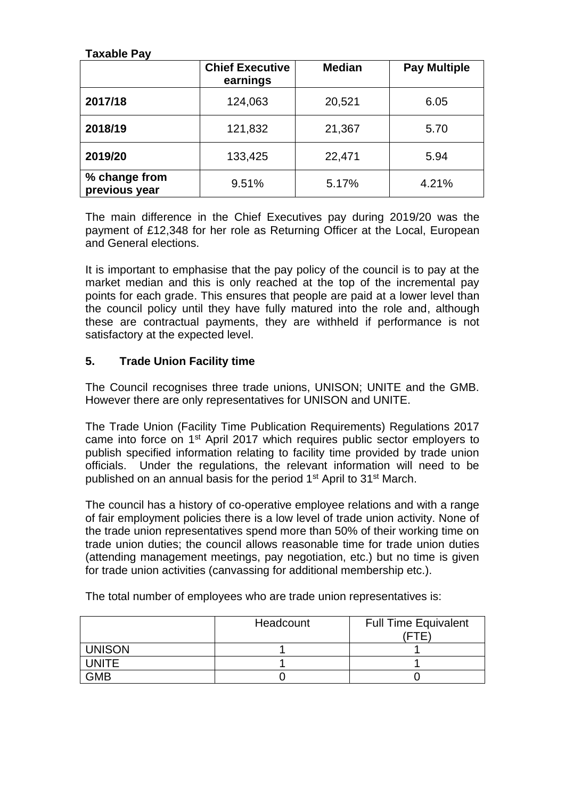### **Taxable Pay**

|                                | <b>Chief Executive</b><br>earnings | <b>Median</b> | <b>Pay Multiple</b> |
|--------------------------------|------------------------------------|---------------|---------------------|
| 2017/18                        | 124,063                            | 20,521        | 6.05                |
| 2018/19                        | 121,832                            | 21,367        | 5.70                |
| 2019/20                        | 133,425                            | 22,471        | 5.94                |
| % change from<br>previous year | 9.51%                              | 5.17%         | 4.21%               |

The main difference in the Chief Executives pay during 2019/20 was the payment of £12,348 for her role as Returning Officer at the Local, European and General elections.

It is important to emphasise that the pay policy of the council is to pay at the market median and this is only reached at the top of the incremental pay points for each grade. This ensures that people are paid at a lower level than the council policy until they have fully matured into the role and, although these are contractual payments, they are withheld if performance is not satisfactory at the expected level.

### **5. Trade Union Facility time**

The Council recognises three trade unions, UNISON; UNITE and the GMB. However there are only representatives for UNISON and UNITE.

The Trade Union (Facility Time Publication Requirements) Regulations 2017 came into force on 1st April 2017 which requires public sector employers to publish specified information relating to facility time provided by trade union officials. Under the regulations, the relevant information will need to be published on an annual basis for the period 1<sup>st</sup> April to 31<sup>st</sup> March.

The council has a history of co-operative employee relations and with a range of fair employment policies there is a low level of trade union activity. None of the trade union representatives spend more than 50% of their working time on trade union duties; the council allows reasonable time for trade union duties (attending management meetings, pay negotiation, etc.) but no time is given for trade union activities (canvassing for additional membership etc.).

|               | Headcount | <b>Full Time Equivalent</b> |
|---------------|-----------|-----------------------------|
|               |           |                             |
| <b>UNISON</b> |           |                             |
| UNITE         |           |                             |
| <b>GMB</b>    |           |                             |

The total number of employees who are trade union representatives is: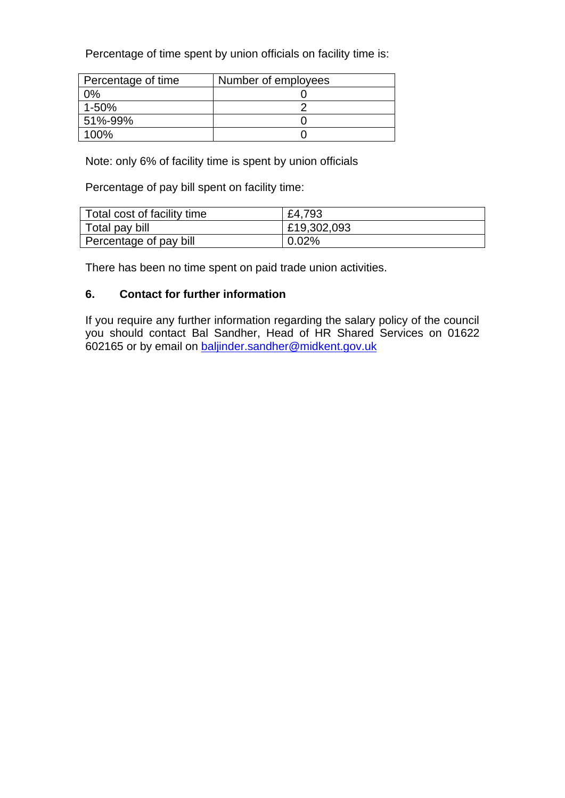Percentage of time spent by union officials on facility time is:

| Percentage of time | Number of employees |
|--------------------|---------------------|
| 2%                 |                     |
| $1 - 50%$          |                     |
| 51%-99%            |                     |
| 100%               |                     |

Note: only 6% of facility time is spent by union officials

Percentage of pay bill spent on facility time:

| Total cost of facility time | £4,793      |
|-----------------------------|-------------|
| Total pay bill              | £19,302,093 |
| Percentage of pay bill      | $0.02\%$    |

There has been no time spent on paid trade union activities.

### **6. Contact for further information**

If you require any further information regarding the salary policy of the council you should contact Bal Sandher, Head of HR Shared Services on 01622 602165 or by email on [baljinder.sandher@midkent.gov.uk](mailto:baljinder.sandher@midkent.gov.uk)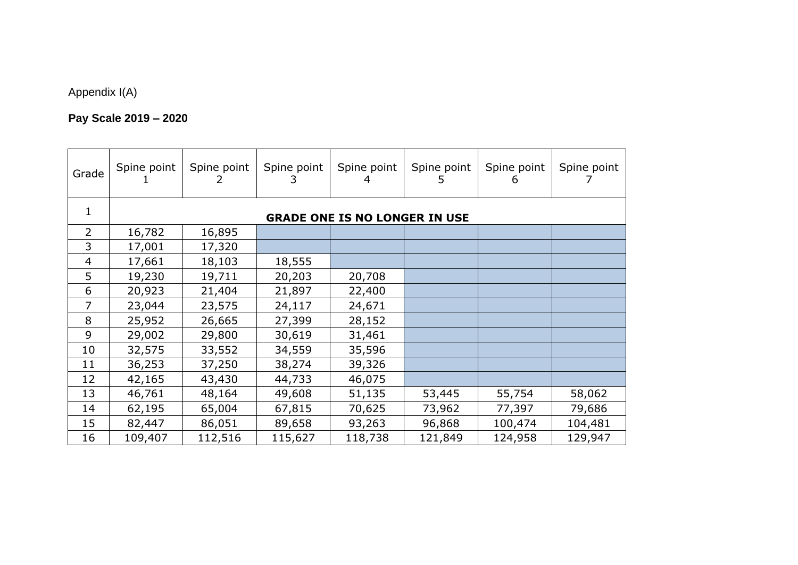# Appendix I(A)

# **Pay Scale 2019 – 2020**

| Grade          | Spine point                          | Spine point | Spine point | Spine point | Spine point<br>5 | Spine point<br>6 | Spine point |  |
|----------------|--------------------------------------|-------------|-------------|-------------|------------------|------------------|-------------|--|
| 1              | <b>GRADE ONE IS NO LONGER IN USE</b> |             |             |             |                  |                  |             |  |
| $\overline{2}$ | 16,782                               | 16,895      |             |             |                  |                  |             |  |
| 3              | 17,001                               | 17,320      |             |             |                  |                  |             |  |
| 4              | 17,661                               | 18,103      | 18,555      |             |                  |                  |             |  |
| 5              | 19,230                               | 19,711      | 20,203      | 20,708      |                  |                  |             |  |
| 6              | 20,923                               | 21,404      | 21,897      | 22,400      |                  |                  |             |  |
| 7              | 23,044                               | 23,575      | 24,117      | 24,671      |                  |                  |             |  |
| 8              | 25,952                               | 26,665      | 27,399      | 28,152      |                  |                  |             |  |
| 9              | 29,002                               | 29,800      | 30,619      | 31,461      |                  |                  |             |  |
| 10             | 32,575                               | 33,552      | 34,559      | 35,596      |                  |                  |             |  |
| 11             | 36,253                               | 37,250      | 38,274      | 39,326      |                  |                  |             |  |
| 12             | 42,165                               | 43,430      | 44,733      | 46,075      |                  |                  |             |  |
| 13             | 46,761                               | 48,164      | 49,608      | 51,135      | 53,445           | 55,754           | 58,062      |  |
| 14             | 62,195                               | 65,004      | 67,815      | 70,625      | 73,962           | 77,397           | 79,686      |  |
| 15             | 82,447                               | 86,051      | 89,658      | 93,263      | 96,868           | 100,474          | 104,481     |  |
| 16             | 109,407                              | 112,516     | 115,627     | 118,738     | 121,849          | 124,958          | 129,947     |  |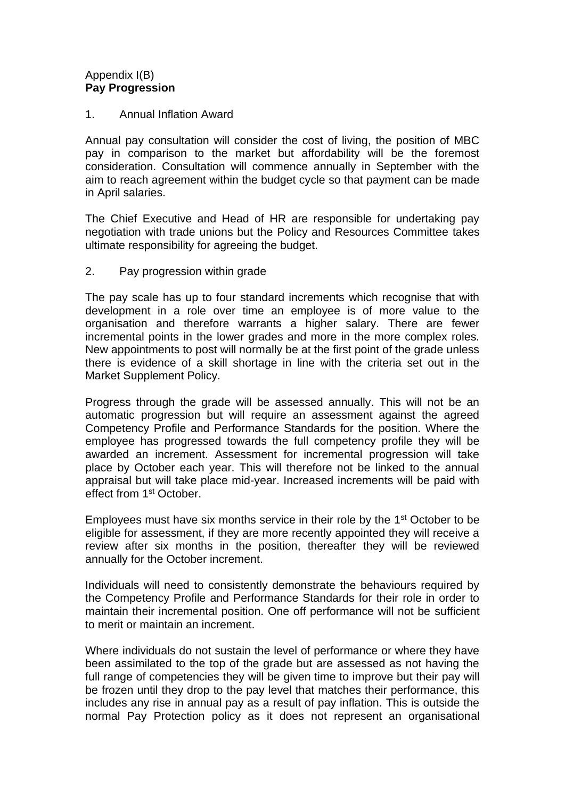#### Appendix I(B) **Pay Progression**

#### 1. Annual Inflation Award

Annual pay consultation will consider the cost of living, the position of MBC pay in comparison to the market but affordability will be the foremost consideration. Consultation will commence annually in September with the aim to reach agreement within the budget cycle so that payment can be made in April salaries.

The Chief Executive and Head of HR are responsible for undertaking pay negotiation with trade unions but the Policy and Resources Committee takes ultimate responsibility for agreeing the budget.

#### 2. Pay progression within grade

The pay scale has up to four standard increments which recognise that with development in a role over time an employee is of more value to the organisation and therefore warrants a higher salary. There are fewer incremental points in the lower grades and more in the more complex roles. New appointments to post will normally be at the first point of the grade unless there is evidence of a skill shortage in line with the criteria set out in the Market Supplement Policy.

Progress through the grade will be assessed annually. This will not be an automatic progression but will require an assessment against the agreed Competency Profile and Performance Standards for the position. Where the employee has progressed towards the full competency profile they will be awarded an increment. Assessment for incremental progression will take place by October each year. This will therefore not be linked to the annual appraisal but will take place mid-year. Increased increments will be paid with effect from 1st October.

Employees must have six months service in their role by the 1<sup>st</sup> October to be eligible for assessment, if they are more recently appointed they will receive a review after six months in the position, thereafter they will be reviewed annually for the October increment.

Individuals will need to consistently demonstrate the behaviours required by the Competency Profile and Performance Standards for their role in order to maintain their incremental position. One off performance will not be sufficient to merit or maintain an increment.

Where individuals do not sustain the level of performance or where they have been assimilated to the top of the grade but are assessed as not having the full range of competencies they will be given time to improve but their pay will be frozen until they drop to the pay level that matches their performance, this includes any rise in annual pay as a result of pay inflation. This is outside the normal Pay Protection policy as it does not represent an organisational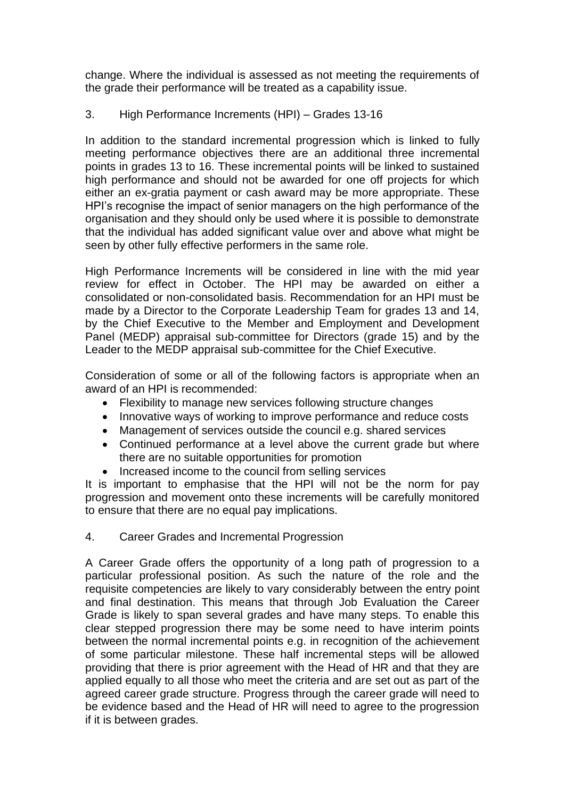change. Where the individual is assessed as not meeting the requirements of the grade their performance will be treated as a capability issue.

### 3. High Performance Increments (HPI) – Grades 13-16

In addition to the standard incremental progression which is linked to fully meeting performance objectives there are an additional three incremental points in grades 13 to 16. These incremental points will be linked to sustained high performance and should not be awarded for one off projects for which either an ex-gratia payment or cash award may be more appropriate. These HPI's recognise the impact of senior managers on the high performance of the organisation and they should only be used where it is possible to demonstrate that the individual has added significant value over and above what might be seen by other fully effective performers in the same role.

High Performance Increments will be considered in line with the mid year review for effect in October. The HPI may be awarded on either a consolidated or non-consolidated basis. Recommendation for an HPI must be made by a Director to the Corporate Leadership Team for grades 13 and 14, by the Chief Executive to the Member and Employment and Development Panel (MEDP) appraisal sub-committee for Directors (grade 15) and by the Leader to the MEDP appraisal sub-committee for the Chief Executive.

Consideration of some or all of the following factors is appropriate when an award of an HPI is recommended:

- Flexibility to manage new services following structure changes
- Innovative ways of working to improve performance and reduce costs
- Management of services outside the council e.g. shared services
- Continued performance at a level above the current grade but where there are no suitable opportunities for promotion
- Increased income to the council from selling services

It is important to emphasise that the HPI will not be the norm for pay progression and movement onto these increments will be carefully monitored to ensure that there are no equal pay implications.

#### 4. Career Grades and Incremental Progression

A Career Grade offers the opportunity of a long path of progression to a particular professional position. As such the nature of the role and the requisite competencies are likely to vary considerably between the entry point and final destination. This means that through Job Evaluation the Career Grade is likely to span several grades and have many steps. To enable this clear stepped progression there may be some need to have interim points between the normal incremental points e.g. in recognition of the achievement of some particular milestone. These half incremental steps will be allowed providing that there is prior agreement with the Head of HR and that they are applied equally to all those who meet the criteria and are set out as part of the agreed career grade structure. Progress through the career grade will need to be evidence based and the Head of HR will need to agree to the progression if it is between grades.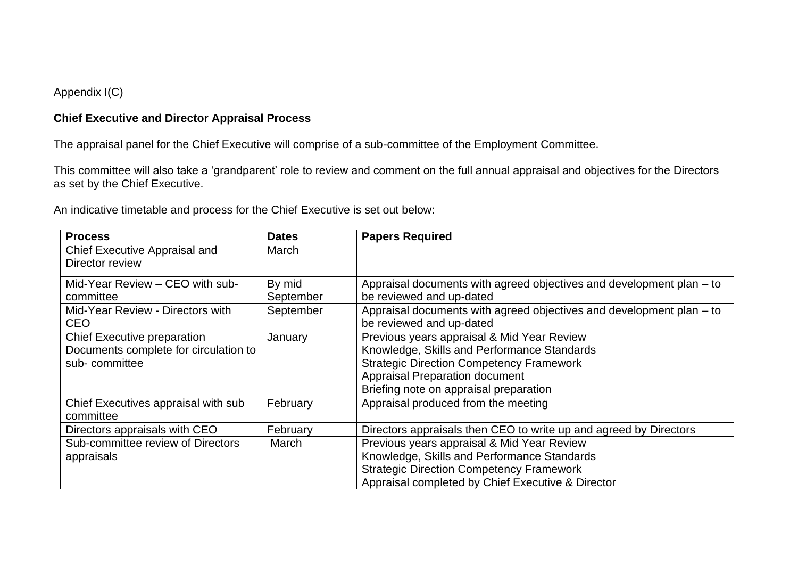### Appendix I(C)

### **Chief Executive and Director Appraisal Process**

The appraisal panel for the Chief Executive will comprise of a sub-committee of the Employment Committee.

This committee will also take a 'grandparent' role to review and comment on the full annual appraisal and objectives for the Directors as set by the Chief Executive.

An indicative timetable and process for the Chief Executive is set out below:

| <b>Process</b>                                                                               | <b>Dates</b>        | <b>Papers Required</b>                                                                                                                                                                                                          |
|----------------------------------------------------------------------------------------------|---------------------|---------------------------------------------------------------------------------------------------------------------------------------------------------------------------------------------------------------------------------|
| Chief Executive Appraisal and<br>Director review                                             | March               |                                                                                                                                                                                                                                 |
| Mid-Year Review - CEO with sub-<br>committee                                                 | By mid<br>September | Appraisal documents with agreed objectives and development plan – to<br>be reviewed and up-dated                                                                                                                                |
| Mid-Year Review - Directors with<br><b>CEO</b>                                               | September           | Appraisal documents with agreed objectives and development plan – to<br>be reviewed and up-dated                                                                                                                                |
| <b>Chief Executive preparation</b><br>Documents complete for circulation to<br>sub-committee | January             | Previous years appraisal & Mid Year Review<br>Knowledge, Skills and Performance Standards<br><b>Strategic Direction Competency Framework</b><br><b>Appraisal Preparation document</b><br>Briefing note on appraisal preparation |
| Chief Executives appraisal with sub<br>committee                                             | February            | Appraisal produced from the meeting                                                                                                                                                                                             |
| Directors appraisals with CEO                                                                | February            | Directors appraisals then CEO to write up and agreed by Directors                                                                                                                                                               |
| Sub-committee review of Directors<br>appraisals                                              | March               | Previous years appraisal & Mid Year Review<br>Knowledge, Skills and Performance Standards<br><b>Strategic Direction Competency Framework</b><br>Appraisal completed by Chief Executive & Director                               |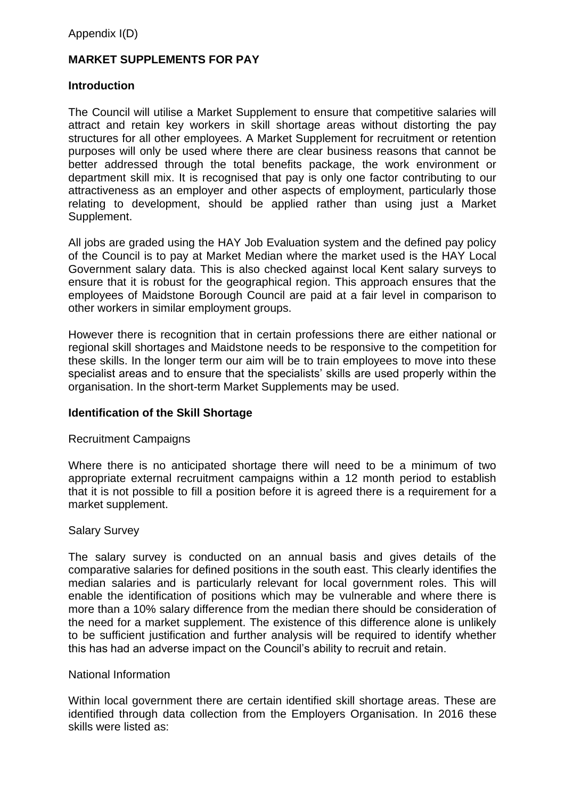Appendix I(D)

### **MARKET SUPPLEMENTS FOR PAY**

#### **Introduction**

The Council will utilise a Market Supplement to ensure that competitive salaries will attract and retain key workers in skill shortage areas without distorting the pay structures for all other employees. A Market Supplement for recruitment or retention purposes will only be used where there are clear business reasons that cannot be better addressed through the total benefits package, the work environment or department skill mix. It is recognised that pay is only one factor contributing to our attractiveness as an employer and other aspects of employment, particularly those relating to development, should be applied rather than using just a Market Supplement.

All jobs are graded using the HAY Job Evaluation system and the defined pay policy of the Council is to pay at Market Median where the market used is the HAY Local Government salary data. This is also checked against local Kent salary surveys to ensure that it is robust for the geographical region. This approach ensures that the employees of Maidstone Borough Council are paid at a fair level in comparison to other workers in similar employment groups.

However there is recognition that in certain professions there are either national or regional skill shortages and Maidstone needs to be responsive to the competition for these skills. In the longer term our aim will be to train employees to move into these specialist areas and to ensure that the specialists' skills are used properly within the organisation. In the short-term Market Supplements may be used.

#### **Identification of the Skill Shortage**

#### Recruitment Campaigns

Where there is no anticipated shortage there will need to be a minimum of two appropriate external recruitment campaigns within a 12 month period to establish that it is not possible to fill a position before it is agreed there is a requirement for a market supplement.

#### Salary Survey

The salary survey is conducted on an annual basis and gives details of the comparative salaries for defined positions in the south east. This clearly identifies the median salaries and is particularly relevant for local government roles. This will enable the identification of positions which may be vulnerable and where there is more than a 10% salary difference from the median there should be consideration of the need for a market supplement. The existence of this difference alone is unlikely to be sufficient justification and further analysis will be required to identify whether this has had an adverse impact on the Council's ability to recruit and retain.

#### National Information

Within local government there are certain identified skill shortage areas. These are identified through data collection from the Employers Organisation. In 2016 these skills were listed as: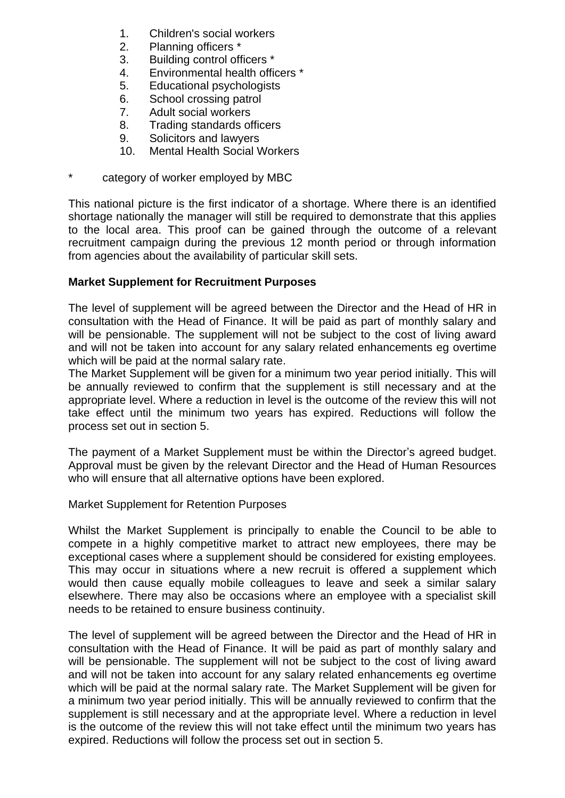- 1. Children's social workers
- 2. Planning officers \*
- 3. Building control officers \*
- 4. Environmental health officers \*
- 5. Educational psychologists
- 6. School crossing patrol
- 7. Adult social workers
- 8. Trading standards officers
- 9. Solicitors and lawyers
- 10. Mental Health Social Workers
- category of worker employed by MBC

This national picture is the first indicator of a shortage. Where there is an identified shortage nationally the manager will still be required to demonstrate that this applies to the local area. This proof can be gained through the outcome of a relevant recruitment campaign during the previous 12 month period or through information from agencies about the availability of particular skill sets.

### **Market Supplement for Recruitment Purposes**

The level of supplement will be agreed between the Director and the Head of HR in consultation with the Head of Finance. It will be paid as part of monthly salary and will be pensionable. The supplement will not be subject to the cost of living award and will not be taken into account for any salary related enhancements eg overtime which will be paid at the normal salary rate.

The Market Supplement will be given for a minimum two year period initially. This will be annually reviewed to confirm that the supplement is still necessary and at the appropriate level. Where a reduction in level is the outcome of the review this will not take effect until the minimum two years has expired. Reductions will follow the process set out in section 5.

The payment of a Market Supplement must be within the Director's agreed budget. Approval must be given by the relevant Director and the Head of Human Resources who will ensure that all alternative options have been explored.

#### Market Supplement for Retention Purposes

Whilst the Market Supplement is principally to enable the Council to be able to compete in a highly competitive market to attract new employees, there may be exceptional cases where a supplement should be considered for existing employees. This may occur in situations where a new recruit is offered a supplement which would then cause equally mobile colleagues to leave and seek a similar salary elsewhere. There may also be occasions where an employee with a specialist skill needs to be retained to ensure business continuity.

The level of supplement will be agreed between the Director and the Head of HR in consultation with the Head of Finance. It will be paid as part of monthly salary and will be pensionable. The supplement will not be subject to the cost of living award and will not be taken into account for any salary related enhancements eg overtime which will be paid at the normal salary rate. The Market Supplement will be given for a minimum two year period initially. This will be annually reviewed to confirm that the supplement is still necessary and at the appropriate level. Where a reduction in level is the outcome of the review this will not take effect until the minimum two years has expired. Reductions will follow the process set out in section 5.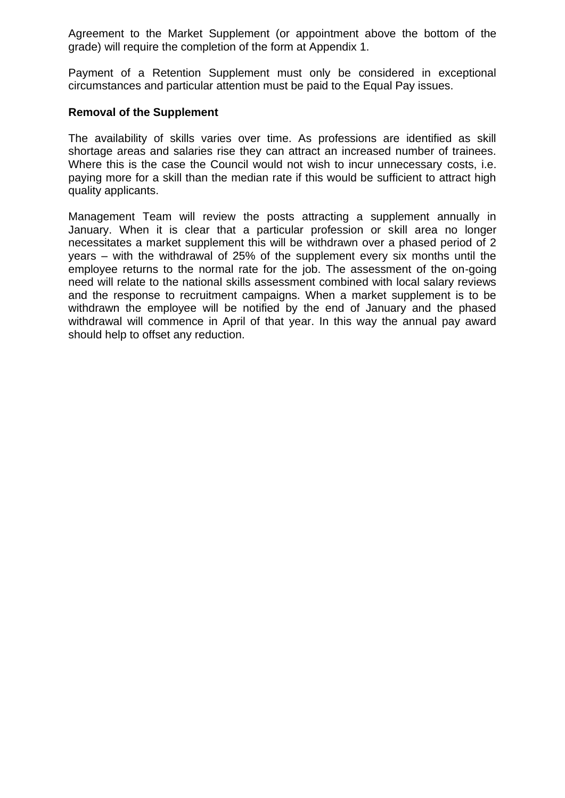Agreement to the Market Supplement (or appointment above the bottom of the grade) will require the completion of the form at Appendix 1.

Payment of a Retention Supplement must only be considered in exceptional circumstances and particular attention must be paid to the Equal Pay issues.

#### **Removal of the Supplement**

The availability of skills varies over time. As professions are identified as skill shortage areas and salaries rise they can attract an increased number of trainees. Where this is the case the Council would not wish to incur unnecessary costs, i.e. paying more for a skill than the median rate if this would be sufficient to attract high quality applicants.

Management Team will review the posts attracting a supplement annually in January. When it is clear that a particular profession or skill area no longer necessitates a market supplement this will be withdrawn over a phased period of 2 years – with the withdrawal of 25% of the supplement every six months until the employee returns to the normal rate for the job. The assessment of the on-going need will relate to the national skills assessment combined with local salary reviews and the response to recruitment campaigns. When a market supplement is to be withdrawn the employee will be notified by the end of January and the phased withdrawal will commence in April of that year. In this way the annual pay award should help to offset any reduction.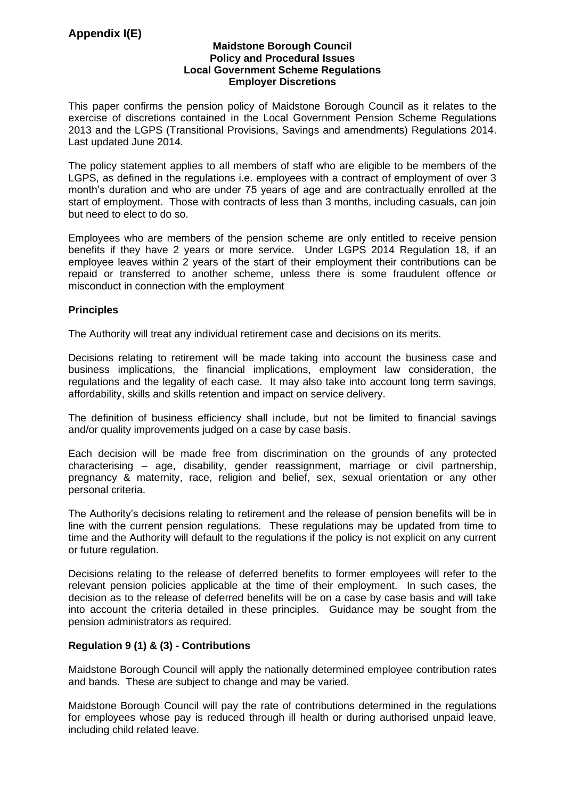#### **Maidstone Borough Council Policy and Procedural Issues Local Government Scheme Regulations Employer Discretions**

This paper confirms the pension policy of Maidstone Borough Council as it relates to the exercise of discretions contained in the Local Government Pension Scheme Regulations 2013 and the LGPS (Transitional Provisions, Savings and amendments) Regulations 2014. Last updated June 2014.

The policy statement applies to all members of staff who are eligible to be members of the LGPS, as defined in the regulations i.e. employees with a contract of employment of over 3 month's duration and who are under 75 years of age and are contractually enrolled at the start of employment. Those with contracts of less than 3 months, including casuals, can join but need to elect to do so.

Employees who are members of the pension scheme are only entitled to receive pension benefits if they have 2 years or more service. Under LGPS 2014 Regulation 18, if an employee leaves within 2 years of the start of their employment their contributions can be repaid or transferred to another scheme, unless there is some fraudulent offence or misconduct in connection with the employment

#### **Principles**

The Authority will treat any individual retirement case and decisions on its merits.

Decisions relating to retirement will be made taking into account the business case and business implications, the financial implications, employment law consideration, the regulations and the legality of each case. It may also take into account long term savings, affordability, skills and skills retention and impact on service delivery.

The definition of business efficiency shall include, but not be limited to financial savings and/or quality improvements judged on a case by case basis.

Each decision will be made free from discrimination on the grounds of any protected characterising – age, disability, gender reassignment, marriage or civil partnership, pregnancy & maternity, race, religion and belief, sex, sexual orientation or any other personal criteria.

The Authority's decisions relating to retirement and the release of pension benefits will be in line with the current pension regulations. These regulations may be updated from time to time and the Authority will default to the regulations if the policy is not explicit on any current or future regulation.

Decisions relating to the release of deferred benefits to former employees will refer to the relevant pension policies applicable at the time of their employment. In such cases, the decision as to the release of deferred benefits will be on a case by case basis and will take into account the criteria detailed in these principles. Guidance may be sought from the pension administrators as required.

#### **Regulation 9 (1) & (3) - Contributions**

Maidstone Borough Council will apply the nationally determined employee contribution rates and bands. These are subject to change and may be varied.

Maidstone Borough Council will pay the rate of contributions determined in the regulations for employees whose pay is reduced through ill health or during authorised unpaid leave, including child related leave.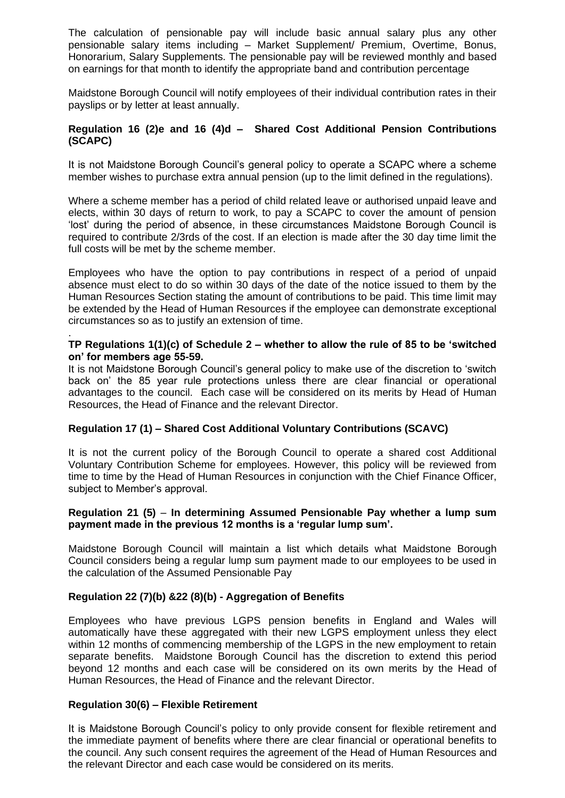The calculation of pensionable pay will include basic annual salary plus any other pensionable salary items including – Market Supplement/ Premium, Overtime, Bonus, Honorarium, Salary Supplements. The pensionable pay will be reviewed monthly and based on earnings for that month to identify the appropriate band and contribution percentage

Maidstone Borough Council will notify employees of their individual contribution rates in their payslips or by letter at least annually.

#### **Regulation 16 (2)e and 16 (4)d – Shared Cost Additional Pension Contributions (SCAPC)**

It is not Maidstone Borough Council's general policy to operate a SCAPC where a scheme member wishes to purchase extra annual pension (up to the limit defined in the regulations).

Where a scheme member has a period of child related leave or authorised unpaid leave and elects, within 30 days of return to work, to pay a SCAPC to cover the amount of pension 'lost' during the period of absence, in these circumstances Maidstone Borough Council is required to contribute 2/3rds of the cost. If an election is made after the 30 day time limit the full costs will be met by the scheme member.

Employees who have the option to pay contributions in respect of a period of unpaid absence must elect to do so within 30 days of the date of the notice issued to them by the Human Resources Section stating the amount of contributions to be paid. This time limit may be extended by the Head of Human Resources if the employee can demonstrate exceptional circumstances so as to justify an extension of time.

#### . **TP Regulations 1(1)(c) of Schedule 2 – whether to allow the rule of 85 to be 'switched on' for members age 55-59.**

It is not Maidstone Borough Council's general policy to make use of the discretion to 'switch back on' the 85 year rule protections unless there are clear financial or operational advantages to the council. Each case will be considered on its merits by Head of Human Resources, the Head of Finance and the relevant Director.

#### **Regulation 17 (1) – Shared Cost Additional Voluntary Contributions (SCAVC)**

It is not the current policy of the Borough Council to operate a shared cost Additional Voluntary Contribution Scheme for employees. However, this policy will be reviewed from time to time by the Head of Human Resources in conjunction with the Chief Finance Officer, subject to Member's approval.

#### **Regulation 21 (5)** – **In determining Assumed Pensionable Pay whether a lump sum payment made in the previous 12 months is a 'regular lump sum'.**

Maidstone Borough Council will maintain a list which details what Maidstone Borough Council considers being a regular lump sum payment made to our employees to be used in the calculation of the Assumed Pensionable Pay

#### **Regulation 22 (7)(b) &22 (8)(b) - Aggregation of Benefits**

Employees who have previous LGPS pension benefits in England and Wales will automatically have these aggregated with their new LGPS employment unless they elect within 12 months of commencing membership of the LGPS in the new employment to retain separate benefits. Maidstone Borough Council has the discretion to extend this period beyond 12 months and each case will be considered on its own merits by the Head of Human Resources, the Head of Finance and the relevant Director.

#### **Regulation 30(6) – Flexible Retirement**

It is Maidstone Borough Council's policy to only provide consent for flexible retirement and the immediate payment of benefits where there are clear financial or operational benefits to the council. Any such consent requires the agreement of the Head of Human Resources and the relevant Director and each case would be considered on its merits.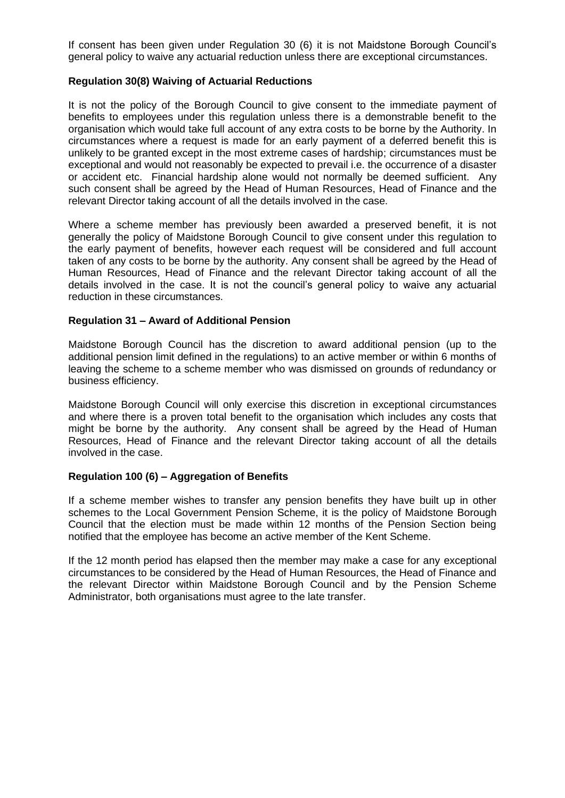If consent has been given under Regulation 30 (6) it is not Maidstone Borough Council's general policy to waive any actuarial reduction unless there are exceptional circumstances.

#### **Regulation 30(8) Waiving of Actuarial Reductions**

It is not the policy of the Borough Council to give consent to the immediate payment of benefits to employees under this regulation unless there is a demonstrable benefit to the organisation which would take full account of any extra costs to be borne by the Authority. In circumstances where a request is made for an early payment of a deferred benefit this is unlikely to be granted except in the most extreme cases of hardship; circumstances must be exceptional and would not reasonably be expected to prevail i.e. the occurrence of a disaster or accident etc. Financial hardship alone would not normally be deemed sufficient. Any such consent shall be agreed by the Head of Human Resources, Head of Finance and the relevant Director taking account of all the details involved in the case.

Where a scheme member has previously been awarded a preserved benefit, it is not generally the policy of Maidstone Borough Council to give consent under this regulation to the early payment of benefits, however each request will be considered and full account taken of any costs to be borne by the authority. Any consent shall be agreed by the Head of Human Resources, Head of Finance and the relevant Director taking account of all the details involved in the case. It is not the council's general policy to waive any actuarial reduction in these circumstances.

#### **Regulation 31 – Award of Additional Pension**

Maidstone Borough Council has the discretion to award additional pension (up to the additional pension limit defined in the regulations) to an active member or within 6 months of leaving the scheme to a scheme member who was dismissed on grounds of redundancy or business efficiency.

Maidstone Borough Council will only exercise this discretion in exceptional circumstances and where there is a proven total benefit to the organisation which includes any costs that might be borne by the authority. Any consent shall be agreed by the Head of Human Resources, Head of Finance and the relevant Director taking account of all the details involved in the case.

#### **Regulation 100 (6) – Aggregation of Benefits**

If a scheme member wishes to transfer any pension benefits they have built up in other schemes to the Local Government Pension Scheme, it is the policy of Maidstone Borough Council that the election must be made within 12 months of the Pension Section being notified that the employee has become an active member of the Kent Scheme.

If the 12 month period has elapsed then the member may make a case for any exceptional circumstances to be considered by the Head of Human Resources, the Head of Finance and the relevant Director within Maidstone Borough Council and by the Pension Scheme Administrator, both organisations must agree to the late transfer.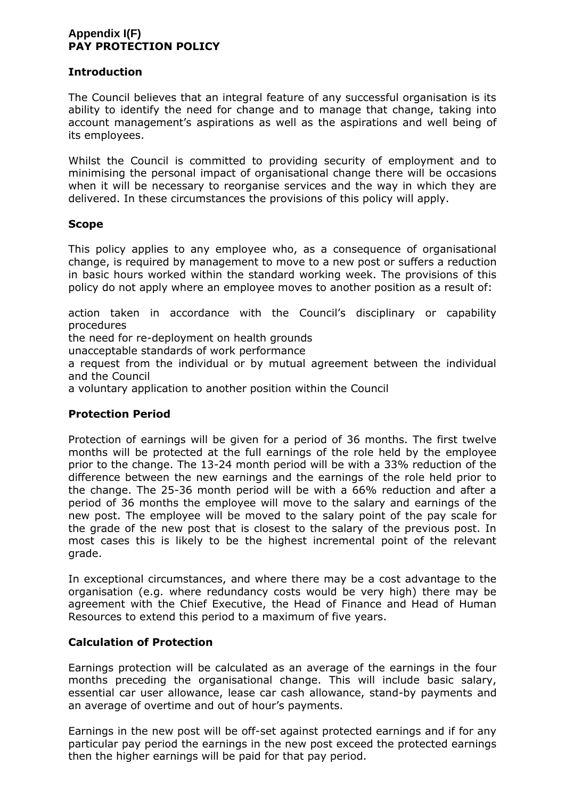#### **Appendix I(F) PAY PROTECTION POLICY**

#### **Introduction**

The Council believes that an integral feature of any successful organisation is its ability to identify the need for change and to manage that change, taking into account management's aspirations as well as the aspirations and well being of its employees.

Whilst the Council is committed to providing security of employment and to minimising the personal impact of organisational change there will be occasions when it will be necessary to reorganise services and the way in which they are delivered. In these circumstances the provisions of this policy will apply.

#### **Scope**

This policy applies to any employee who, as a consequence of organisational change, is required by management to move to a new post or suffers a reduction in basic hours worked within the standard working week. The provisions of this policy do not apply where an employee moves to another position as a result of:

action taken in accordance with the Council's disciplinary or capability procedures

the need for re-deployment on health grounds

unacceptable standards of work performance

a request from the individual or by mutual agreement between the individual and the Council

a voluntary application to another position within the Council

#### **Protection Period**

Protection of earnings will be given for a period of 36 months. The first twelve months will be protected at the full earnings of the role held by the employee prior to the change. The 13-24 month period will be with a 33% reduction of the difference between the new earnings and the earnings of the role held prior to the change. The 25-36 month period will be with a 66% reduction and after a period of 36 months the employee will move to the salary and earnings of the new post. The employee will be moved to the salary point of the pay scale for the grade of the new post that is closest to the salary of the previous post. In most cases this is likely to be the highest incremental point of the relevant grade.

In exceptional circumstances, and where there may be a cost advantage to the organisation (e.g. where redundancy costs would be very high) there may be agreement with the Chief Executive, the Head of Finance and Head of Human Resources to extend this period to a maximum of five years.

#### **Calculation of Protection**

Earnings protection will be calculated as an average of the earnings in the four months preceding the organisational change. This will include basic salary, essential car user allowance, lease car cash allowance, stand-by payments and an average of overtime and out of hour's payments.

Earnings in the new post will be off-set against protected earnings and if for any particular pay period the earnings in the new post exceed the protected earnings then the higher earnings will be paid for that pay period.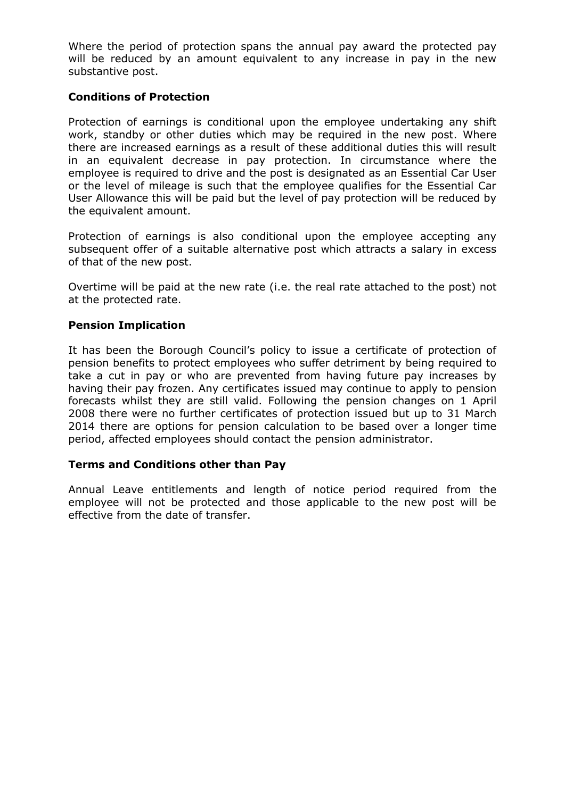Where the period of protection spans the annual pay award the protected pay will be reduced by an amount equivalent to any increase in pay in the new substantive post.

#### **Conditions of Protection**

Protection of earnings is conditional upon the employee undertaking any shift work, standby or other duties which may be required in the new post. Where there are increased earnings as a result of these additional duties this will result in an equivalent decrease in pay protection. In circumstance where the employee is required to drive and the post is designated as an Essential Car User or the level of mileage is such that the employee qualifies for the Essential Car User Allowance this will be paid but the level of pay protection will be reduced by the equivalent amount.

Protection of earnings is also conditional upon the employee accepting any subsequent offer of a suitable alternative post which attracts a salary in excess of that of the new post.

Overtime will be paid at the new rate (i.e. the real rate attached to the post) not at the protected rate.

#### **Pension Implication**

It has been the Borough Council's policy to issue a certificate of protection of pension benefits to protect employees who suffer detriment by being required to take a cut in pay or who are prevented from having future pay increases by having their pay frozen. Any certificates issued may continue to apply to pension forecasts whilst they are still valid. Following the pension changes on 1 April 2008 there were no further certificates of protection issued but up to 31 March 2014 there are options for pension calculation to be based over a longer time period, affected employees should contact the pension administrator.

#### **Terms and Conditions other than Pay**

Annual Leave entitlements and length of notice period required from the employee will not be protected and those applicable to the new post will be effective from the date of transfer.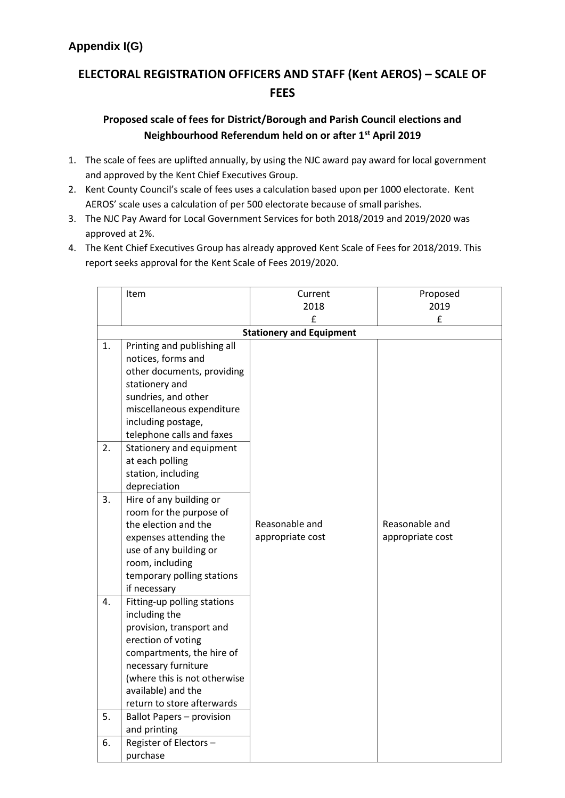# **ELECTORAL REGISTRATION OFFICERS AND STAFF (Kent AEROS) – SCALE OF FEES**

### **Proposed scale of fees for District/Borough and Parish Council elections and Neighbourhood Referendum held on or after 1st April 2019**

- 1. The scale of fees are uplifted annually, by using the NJC award pay award for local government and approved by the Kent Chief Executives Group.
- 2. Kent County Council's scale of fees uses a calculation based upon per 1000 electorate. Kent AEROS' scale uses a calculation of per 500 electorate because of small parishes.
- 3. The NJC Pay Award for Local Government Services for both 2018/2019 and 2019/2020 was approved at 2%.
- 4. The Kent Chief Executives Group has already approved Kent Scale of Fees for 2018/2019. This report seeks approval for the Kent Scale of Fees 2019/2020.

|    | Item                                                | Current          | Proposed         |  |  |  |  |
|----|-----------------------------------------------------|------------------|------------------|--|--|--|--|
|    |                                                     | 2018             | 2019             |  |  |  |  |
|    |                                                     | £                | £                |  |  |  |  |
|    | <b>Stationery and Equipment</b>                     |                  |                  |  |  |  |  |
| 1. | Printing and publishing all                         |                  |                  |  |  |  |  |
|    | notices, forms and                                  |                  |                  |  |  |  |  |
|    | other documents, providing                          |                  |                  |  |  |  |  |
|    | stationery and                                      |                  |                  |  |  |  |  |
|    | sundries, and other                                 |                  |                  |  |  |  |  |
|    | miscellaneous expenditure                           |                  |                  |  |  |  |  |
|    | including postage,                                  |                  |                  |  |  |  |  |
|    | telephone calls and faxes                           |                  |                  |  |  |  |  |
| 2. | Stationery and equipment                            |                  |                  |  |  |  |  |
|    | at each polling                                     |                  |                  |  |  |  |  |
|    | station, including                                  |                  |                  |  |  |  |  |
|    | depreciation                                        |                  |                  |  |  |  |  |
| 3. | Hire of any building or                             |                  |                  |  |  |  |  |
|    | room for the purpose of                             |                  |                  |  |  |  |  |
|    | the election and the                                | Reasonable and   | Reasonable and   |  |  |  |  |
|    | expenses attending the                              | appropriate cost | appropriate cost |  |  |  |  |
|    | use of any building or                              |                  |                  |  |  |  |  |
|    | room, including                                     |                  |                  |  |  |  |  |
|    | temporary polling stations                          |                  |                  |  |  |  |  |
|    | if necessary                                        |                  |                  |  |  |  |  |
| 4. | Fitting-up polling stations                         |                  |                  |  |  |  |  |
|    | including the                                       |                  |                  |  |  |  |  |
|    | provision, transport and                            |                  |                  |  |  |  |  |
|    | erection of voting                                  |                  |                  |  |  |  |  |
|    | compartments, the hire of                           |                  |                  |  |  |  |  |
|    | necessary furniture<br>(where this is not otherwise |                  |                  |  |  |  |  |
|    | available) and the                                  |                  |                  |  |  |  |  |
|    | return to store afterwards                          |                  |                  |  |  |  |  |
| 5. | <b>Ballot Papers - provision</b>                    |                  |                  |  |  |  |  |
|    | and printing                                        |                  |                  |  |  |  |  |
| 6. | Register of Electors -                              |                  |                  |  |  |  |  |
|    | purchase                                            |                  |                  |  |  |  |  |
|    |                                                     |                  |                  |  |  |  |  |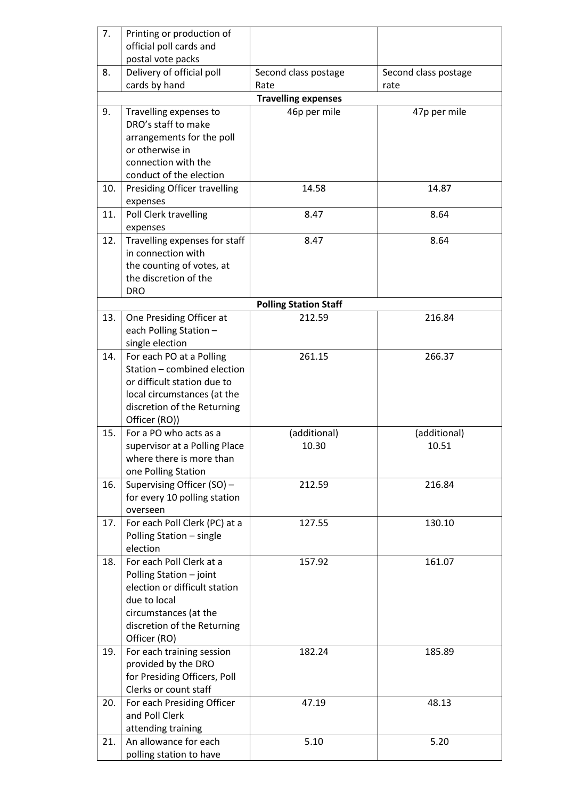| 7.  | Printing or production of     |                              |                      |
|-----|-------------------------------|------------------------------|----------------------|
|     | official poll cards and       |                              |                      |
|     | postal vote packs             |                              |                      |
| 8.  | Delivery of official poll     | Second class postage         | Second class postage |
|     | cards by hand                 | Rate                         | rate                 |
|     |                               | <b>Travelling expenses</b>   |                      |
| 9.  | Travelling expenses to        | 46p per mile                 | 47p per mile         |
|     | DRO's staff to make           |                              |                      |
|     |                               |                              |                      |
|     | arrangements for the poll     |                              |                      |
|     | or otherwise in               |                              |                      |
|     | connection with the           |                              |                      |
|     | conduct of the election       |                              |                      |
| 10. | Presiding Officer travelling  | 14.58                        | 14.87                |
|     | expenses                      |                              |                      |
| 11. | Poll Clerk travelling         | 8.47                         | 8.64                 |
|     | expenses                      |                              |                      |
| 12. | Travelling expenses for staff | 8.47                         | 8.64                 |
|     | in connection with            |                              |                      |
|     | the counting of votes, at     |                              |                      |
|     | the discretion of the         |                              |                      |
|     | <b>DRO</b>                    |                              |                      |
|     |                               | <b>Polling Station Staff</b> |                      |
| 13. | One Presiding Officer at      | 212.59                       | 216.84               |
|     | each Polling Station -        |                              |                      |
|     | single election               |                              |                      |
| 14. | For each PO at a Polling      | 261.15                       | 266.37               |
|     | Station - combined election   |                              |                      |
|     | or difficult station due to   |                              |                      |
|     | local circumstances (at the   |                              |                      |
|     | discretion of the Returning   |                              |                      |
|     | Officer (RO))                 |                              |                      |
| 15. | For a PO who acts as a        | (additional)                 | (additional)         |
|     | supervisor at a Polling Place | 10.30                        | 10.51                |
|     | where there is more than      |                              |                      |
|     | one Polling Station           |                              |                      |
| 16. | Supervising Officer (SO) -    |                              | 216.84               |
|     |                               | 212.59                       |                      |
|     | for every 10 polling station  |                              |                      |
|     | overseen                      |                              |                      |
| 17. | For each Poll Clerk (PC) at a | 127.55                       | 130.10               |
|     | Polling Station - single      |                              |                      |
|     | election                      |                              |                      |
| 18. | For each Poll Clerk at a      | 157.92                       | 161.07               |
|     | Polling Station - joint       |                              |                      |
|     | election or difficult station |                              |                      |
|     | due to local                  |                              |                      |
|     | circumstances (at the         |                              |                      |
|     | discretion of the Returning   |                              |                      |
|     | Officer (RO)                  |                              |                      |
| 19. | For each training session     | 182.24                       | 185.89               |
|     | provided by the DRO           |                              |                      |
|     | for Presiding Officers, Poll  |                              |                      |
|     | Clerks or count staff         |                              |                      |
| 20. | For each Presiding Officer    | 47.19                        | 48.13                |
|     | and Poll Clerk                |                              |                      |
|     | attending training            |                              |                      |
| 21. | An allowance for each         | 5.10                         | 5.20                 |
|     | polling station to have       |                              |                      |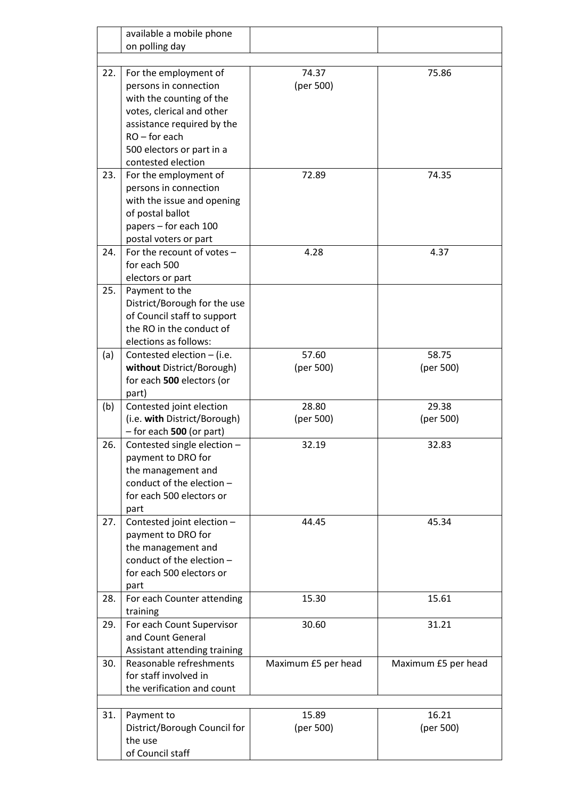|     | available a mobile phone                       |                     |                     |
|-----|------------------------------------------------|---------------------|---------------------|
|     | on polling day                                 |                     |                     |
|     |                                                |                     |                     |
| 22. | For the employment of<br>persons in connection | 74.37<br>(per 500)  | 75.86               |
|     | with the counting of the                       |                     |                     |
|     | votes, clerical and other                      |                     |                     |
|     | assistance required by the                     |                     |                     |
|     | $RO$ – for each                                |                     |                     |
|     | 500 electors or part in a                      |                     |                     |
|     | contested election                             |                     |                     |
| 23. | For the employment of                          | 72.89               | 74.35               |
|     | persons in connection                          |                     |                     |
|     | with the issue and opening                     |                     |                     |
|     | of postal ballot                               |                     |                     |
|     | papers - for each 100                          |                     |                     |
|     | postal voters or part                          |                     |                     |
| 24. | For the recount of votes -                     | 4.28                | 4.37                |
|     | for each 500                                   |                     |                     |
|     | electors or part                               |                     |                     |
| 25. | Payment to the<br>District/Borough for the use |                     |                     |
|     | of Council staff to support                    |                     |                     |
|     | the RO in the conduct of                       |                     |                     |
|     | elections as follows:                          |                     |                     |
| (a) | Contested election $-$ (i.e.                   | 57.60               | 58.75               |
|     | without District/Borough)                      | (per 500)           | (per 500)           |
|     | for each 500 electors (or                      |                     |                     |
|     | part)                                          |                     |                     |
| (b) | Contested joint election                       | 28.80               | 29.38               |
|     | (i.e. with District/Borough)                   | (per 500)           | (per 500)           |
|     | $-$ for each 500 (or part)                     |                     |                     |
| 26. | Contested single election -                    | 32.19               | 32.83               |
|     | payment to DRO for                             |                     |                     |
|     | the management and                             |                     |                     |
|     | conduct of the election -                      |                     |                     |
|     | for each 500 electors or                       |                     |                     |
| 27. | part<br>Contested joint election -             | 44.45               | 45.34               |
|     | payment to DRO for                             |                     |                     |
|     | the management and                             |                     |                     |
|     | conduct of the election -                      |                     |                     |
|     | for each 500 electors or                       |                     |                     |
|     | part                                           |                     |                     |
| 28. | For each Counter attending                     | 15.30               | 15.61               |
|     | training                                       |                     |                     |
| 29. | For each Count Supervisor                      | 30.60               | 31.21               |
|     | and Count General                              |                     |                     |
|     | Assistant attending training                   |                     |                     |
| 30. | Reasonable refreshments                        | Maximum £5 per head | Maximum £5 per head |
|     | for staff involved in                          |                     |                     |
|     | the verification and count                     |                     |                     |
| 31. | Payment to                                     | 15.89               | 16.21               |
|     | District/Borough Council for                   | (per 500)           | (per 500)           |
|     | the use                                        |                     |                     |
|     | of Council staff                               |                     |                     |
|     |                                                |                     |                     |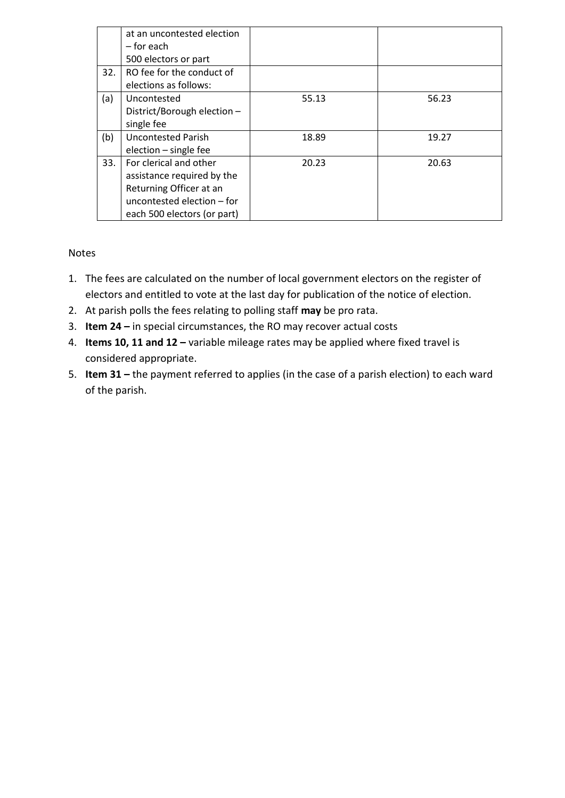|     | at an uncontested election<br>– for each<br>500 electors or part                                                                             |       |       |
|-----|----------------------------------------------------------------------------------------------------------------------------------------------|-------|-------|
| 32. | RO fee for the conduct of<br>elections as follows:                                                                                           |       |       |
| (a) | Uncontested<br>District/Borough election -<br>single fee                                                                                     | 55.13 | 56.23 |
| (b) | <b>Uncontested Parish</b><br>election - single fee                                                                                           | 18.89 | 19.27 |
| 33. | For clerical and other<br>assistance required by the<br>Returning Officer at an<br>uncontested election - for<br>each 500 electors (or part) | 20.23 | 20.63 |

#### Notes

- 1. The fees are calculated on the number of local government electors on the register of electors and entitled to vote at the last day for publication of the notice of election.
- 2. At parish polls the fees relating to polling staff **may** be pro rata.
- 3. **Item 24 –** in special circumstances, the RO may recover actual costs
- 4. **Items 10, 11 and 12 –** variable mileage rates may be applied where fixed travel is considered appropriate.
- 5. **Item 31 –** the payment referred to applies (in the case of a parish election) to each ward of the parish.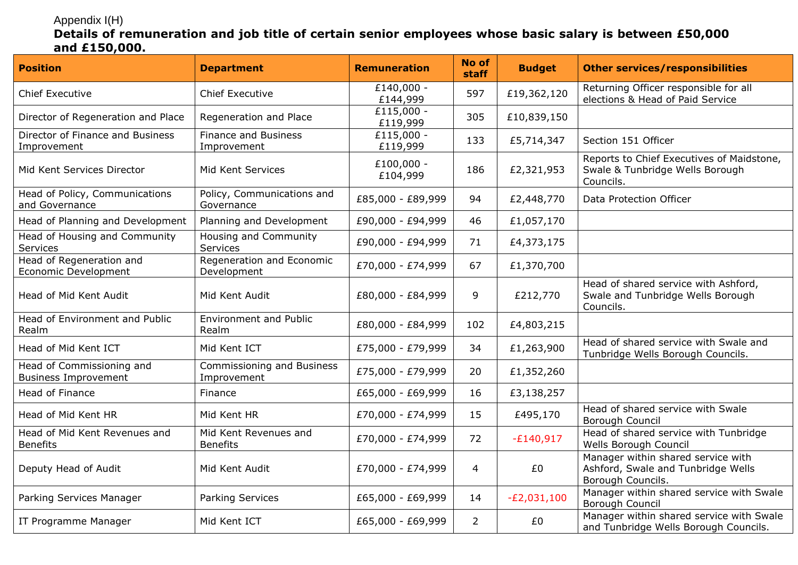# Appendix I(H)

## **Details of remuneration and job title of certain senior employees whose basic salary is between £50,000 and £150,000.**

| <b>Position</b>                                          | <b>Department</b>                          | <b>Remuneration</b>      | No of<br>staff | <b>Budget</b> | <b>Other services/responsibilities</b>                                                        |
|----------------------------------------------------------|--------------------------------------------|--------------------------|----------------|---------------|-----------------------------------------------------------------------------------------------|
| <b>Chief Executive</b>                                   | <b>Chief Executive</b>                     | £140,000 -<br>£144,999   | 597            | £19,362,120   | Returning Officer responsible for all<br>elections & Head of Paid Service                     |
| Director of Regeneration and Place                       | Regeneration and Place                     | $£115,000 -$<br>£119,999 | 305            | £10,839,150   |                                                                                               |
| Director of Finance and Business<br>Improvement          | <b>Finance and Business</b><br>Improvement | £115,000 -<br>£119,999   | 133            | £5,714,347    | Section 151 Officer                                                                           |
| Mid Kent Services Director                               | Mid Kent Services                          | £100,000 -<br>£104,999   | 186            | £2,321,953    | Reports to Chief Executives of Maidstone,<br>Swale & Tunbridge Wells Borough<br>Councils.     |
| Head of Policy, Communications<br>and Governance         | Policy, Communications and<br>Governance   | £85,000 - £89,999        | 94             | £2,448,770    | Data Protection Officer                                                                       |
| Head of Planning and Development                         | Planning and Development                   | £90,000 - £94,999        | 46             | £1,057,170    |                                                                                               |
| Head of Housing and Community<br>Services                | Housing and Community<br>Services          | £90,000 - £94,999        | 71             | £4,373,175    |                                                                                               |
| Head of Regeneration and<br>Economic Development         | Regeneration and Economic<br>Development   | £70,000 - £74,999        | 67             | £1,370,700    |                                                                                               |
| Head of Mid Kent Audit                                   | Mid Kent Audit                             | £80,000 - £84,999        | 9              | £212,770      | Head of shared service with Ashford,<br>Swale and Tunbridge Wells Borough<br>Councils.        |
| Head of Environment and Public<br>Realm                  | <b>Environment and Public</b><br>Realm     | £80,000 - £84,999        | 102            | £4,803,215    |                                                                                               |
| Head of Mid Kent ICT                                     | Mid Kent ICT                               | £75,000 - £79,999        | 34             | £1,263,900    | Head of shared service with Swale and<br>Tunbridge Wells Borough Councils.                    |
| Head of Commissioning and<br><b>Business Improvement</b> | Commissioning and Business<br>Improvement  | £75,000 - £79,999        | 20             | £1,352,260    |                                                                                               |
| Head of Finance                                          | Finance                                    | £65,000 - £69,999        | 16             | £3,138,257    |                                                                                               |
| Head of Mid Kent HR                                      | Mid Kent HR                                | £70,000 - £74,999        | 15             | £495,170      | Head of shared service with Swale<br>Borough Council                                          |
| Head of Mid Kent Revenues and<br><b>Benefits</b>         | Mid Kent Revenues and<br><b>Benefits</b>   | £70,000 - £74,999        | 72             | $-E140,917$   | Head of shared service with Tunbridge<br>Wells Borough Council                                |
| Deputy Head of Audit                                     | Mid Kent Audit                             | £70,000 - £74,999        | 4              | £0            | Manager within shared service with<br>Ashford, Swale and Tunbridge Wells<br>Borough Councils. |
| Parking Services Manager                                 | Parking Services                           | £65,000 - £69,999        | 14             | $-E2,031,100$ | Manager within shared service with Swale<br>Borough Council                                   |
| IT Programme Manager                                     | Mid Kent ICT                               | £65,000 - £69,999        | $\overline{2}$ | £0            | Manager within shared service with Swale<br>and Tunbridge Wells Borough Councils.             |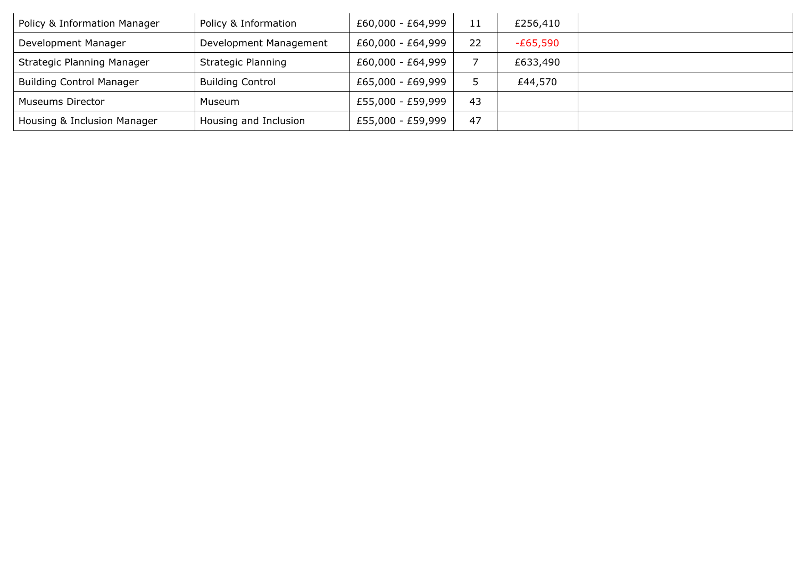| Policy & Information Manager      | Policy & Information      | £60,000 - £64,999 | 11 | £256,410   |  |
|-----------------------------------|---------------------------|-------------------|----|------------|--|
| Development Manager               | Development Management    | £60,000 - £64,999 | 22 | $-E65,590$ |  |
| <b>Strategic Planning Manager</b> | <b>Strategic Planning</b> | £60,000 - £64,999 |    | £633,490   |  |
| <b>Building Control Manager</b>   | <b>Building Control</b>   | £65,000 - £69,999 |    | £44,570    |  |
| <b>Museums Director</b>           | Museum                    | £55,000 - £59,999 | 43 |            |  |
| Housing & Inclusion Manager       | Housing and Inclusion     | £55,000 - £59,999 | 47 |            |  |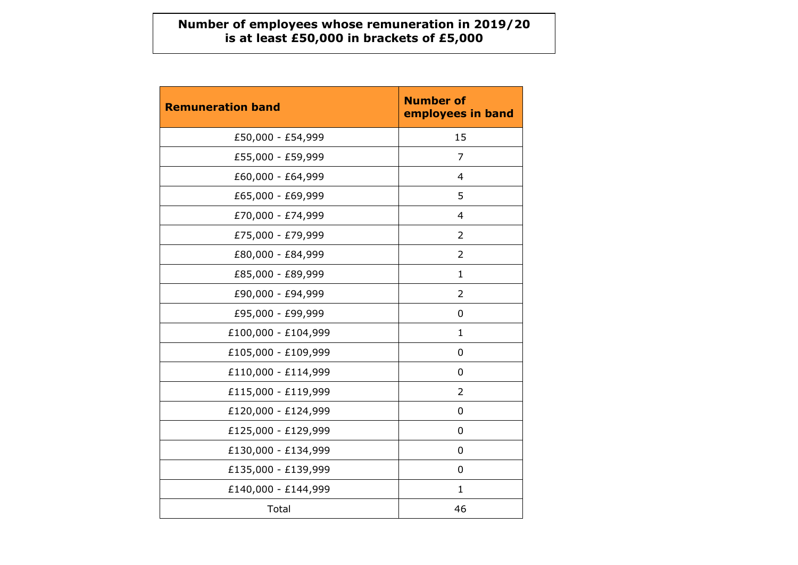### **Number of employees whose remuneration in 2019/20 is at least £50,000 in brackets of £5,000**

| <b>Remuneration band</b> | <b>Number of</b><br>employees in band |
|--------------------------|---------------------------------------|
| £50,000 - £54,999        | 15                                    |
| £55,000 - £59,999        | $\overline{7}$                        |
| £60,000 - £64,999        | $\overline{4}$                        |
| £65,000 - £69,999        | 5                                     |
| £70,000 - £74,999        | 4                                     |
| £75,000 - £79,999        | $\overline{2}$                        |
| £80,000 - £84,999        | 2                                     |
| £85,000 - £89,999        | $\mathbf{1}$                          |
| £90,000 - £94,999        | $\overline{2}$                        |
| £95,000 - £99,999        | 0                                     |
| £100,000 - £104,999      | 1                                     |
| £105,000 - £109,999      | 0                                     |
| £110,000 - £114,999      | 0                                     |
| £115,000 - £119,999      | 2                                     |
| £120,000 - £124,999      | 0                                     |
| £125,000 - £129,999      | 0                                     |
| £130,000 - £134,999      | 0                                     |
| £135,000 - £139,999      | 0                                     |
| £140,000 - £144,999      | 1                                     |
| Total                    | 46                                    |